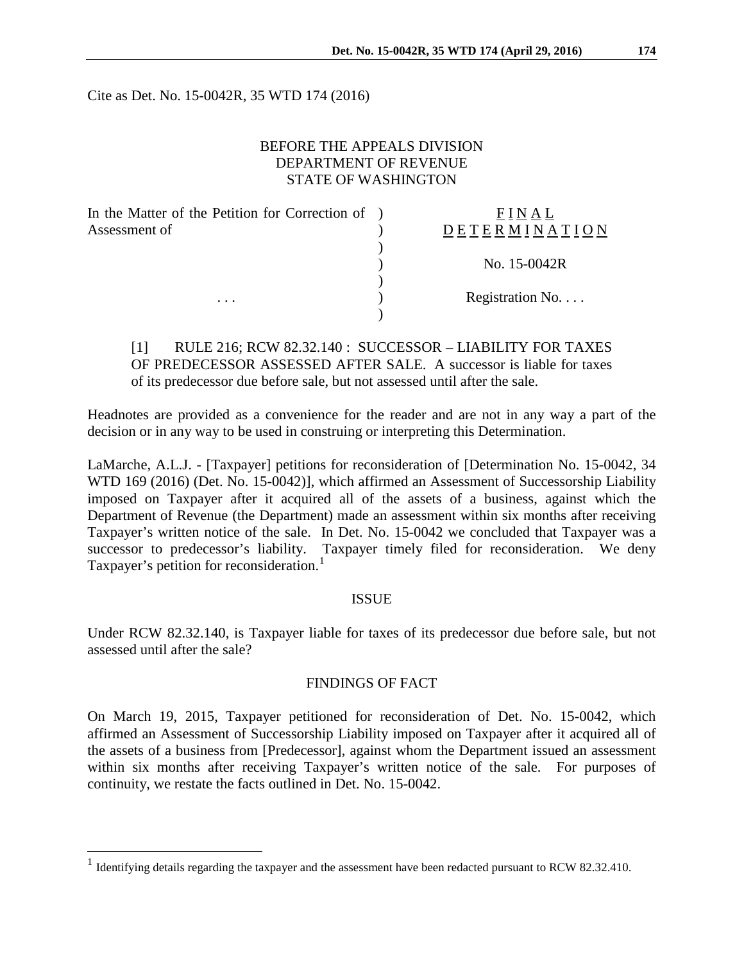Cite as Det. No. 15-0042R, 35 WTD 174 (2016)

## BEFORE THE APPEALS DIVISION DEPARTMENT OF REVENUE STATE OF WASHINGTON

| In the Matter of the Petition for Correction of ) |                  |
|---------------------------------------------------|------------------|
|                                                   | DETERMINATION    |
|                                                   |                  |
|                                                   | No. 15-0042R     |
|                                                   |                  |
|                                                   | Registration No. |
|                                                   |                  |
|                                                   |                  |

[1] RULE 216; RCW 82.32.140 : SUCCESSOR – LIABILITY FOR TAXES OF PREDECESSOR ASSESSED AFTER SALE. A successor is liable for taxes of its predecessor due before sale, but not assessed until after the sale.

Headnotes are provided as a convenience for the reader and are not in any way a part of the decision or in any way to be used in construing or interpreting this Determination.

LaMarche, A.L.J. - [Taxpayer] petitions for reconsideration of [Determination No. 15-0042, 34 WTD 169 (2016) (Det. No. 15-0042)], which affirmed an Assessment of Successorship Liability imposed on Taxpayer after it acquired all of the assets of a business, against which the Department of Revenue (the Department) made an assessment within six months after receiving Taxpayer's written notice of the sale. In Det. No. 15-0042 we concluded that Taxpayer was a successor to predecessor's liability. Taxpayer timely filed for reconsideration. We deny Taxpayer's petition for reconsideration.<sup>[1](#page-0-0)</sup>

### ISSUE

Under RCW 82.32.140, is Taxpayer liable for taxes of its predecessor due before sale, but not assessed until after the sale?

## FINDINGS OF FACT

On March 19, 2015, Taxpayer petitioned for reconsideration of Det. No. 15-0042, which affirmed an Assessment of Successorship Liability imposed on Taxpayer after it acquired all of the assets of a business from [Predecessor], against whom the Department issued an assessment within six months after receiving Taxpayer's written notice of the sale. For purposes of continuity, we restate the facts outlined in Det. No. 15-0042.

<span id="page-0-0"></span><sup>&</sup>lt;sup>1</sup> Identifying details regarding the taxpayer and the assessment have been redacted pursuant to RCW 82.32.410.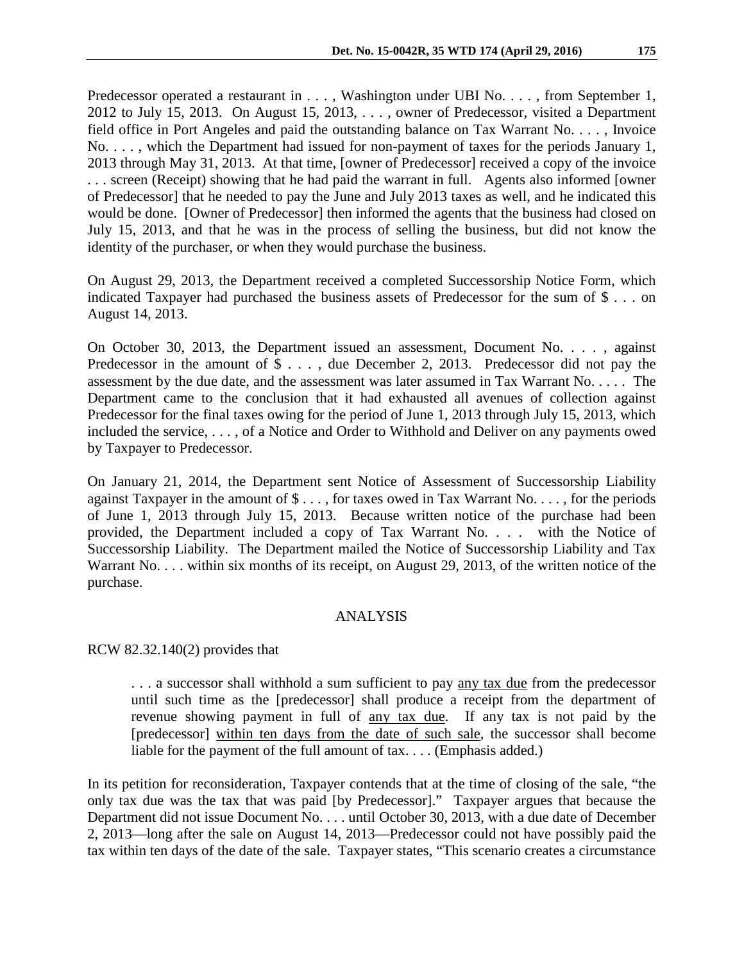Predecessor operated a restaurant in . . . , Washington under UBI No. . . . , from September 1, 2012 to July 15, 2013. On August 15, 2013, . . . , owner of Predecessor, visited a Department field office in Port Angeles and paid the outstanding balance on Tax Warrant No. . . . , Invoice No. . . . , which the Department had issued for non-payment of taxes for the periods January 1, 2013 through May 31, 2013. At that time, [owner of Predecessor] received a copy of the invoice . . . screen (Receipt) showing that he had paid the warrant in full. Agents also informed [owner of Predecessor] that he needed to pay the June and July 2013 taxes as well, and he indicated this would be done. [Owner of Predecessor] then informed the agents that the business had closed on July 15, 2013, and that he was in the process of selling the business, but did not know the identity of the purchaser, or when they would purchase the business.

On August 29, 2013, the Department received a completed Successorship Notice Form, which indicated Taxpayer had purchased the business assets of Predecessor for the sum of \$ . . . on August 14, 2013.

On October 30, 2013, the Department issued an assessment, Document No. . . . , against Predecessor in the amount of  $\text{\$} \ldots$ , due December 2, 2013. Predecessor did not pay the assessment by the due date, and the assessment was later assumed in Tax Warrant No. . . . . The Department came to the conclusion that it had exhausted all avenues of collection against Predecessor for the final taxes owing for the period of June 1, 2013 through July 15, 2013, which included the service, . . . , of a Notice and Order to Withhold and Deliver on any payments owed by Taxpayer to Predecessor.

On January 21, 2014, the Department sent Notice of Assessment of Successorship Liability against Taxpayer in the amount of \$ . . . , for taxes owed in Tax Warrant No. . . . , for the periods of June 1, 2013 through July 15, 2013. Because written notice of the purchase had been provided, the Department included a copy of Tax Warrant No. . . . with the Notice of Successorship Liability. The Department mailed the Notice of Successorship Liability and Tax Warrant No. . . . within six months of its receipt, on August 29, 2013, of the written notice of the purchase.

### ANALYSIS

RCW 82.32.140(2) provides that

... a successor shall withhold a sum sufficient to pay any tax due from the predecessor until such time as the [predecessor] shall produce a receipt from the department of revenue showing payment in full of any tax due. If any tax is not paid by the [predecessor] within ten days from the date of such sale, the successor shall become liable for the payment of the full amount of tax.... (Emphasis added.)

In its petition for reconsideration, Taxpayer contends that at the time of closing of the sale, "the only tax due was the tax that was paid [by Predecessor]." Taxpayer argues that because the Department did not issue Document No. . . . until October 30, 2013, with a due date of December 2, 2013—long after the sale on August 14, 2013—Predecessor could not have possibly paid the tax within ten days of the date of the sale. Taxpayer states, "This scenario creates a circumstance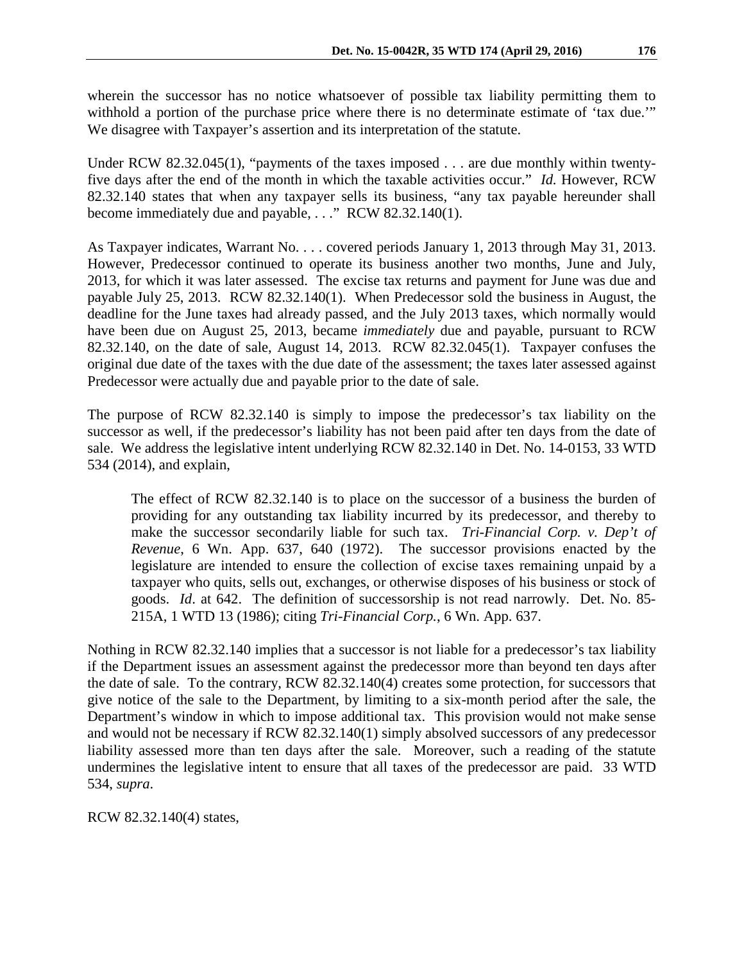wherein the successor has no notice whatsoever of possible tax liability permitting them to withhold a portion of the purchase price where there is no determinate estimate of 'tax due.'" We disagree with Taxpayer's assertion and its interpretation of the statute.

Under RCW 82.32.045(1), "payments of the taxes imposed . . . are due monthly within twentyfive days after the end of the month in which the taxable activities occur." *Id.* However, RCW 82.32.140 states that when any taxpayer sells its business, "any tax payable hereunder shall become immediately due and payable, . . ." RCW 82.32.140(1).

As Taxpayer indicates, Warrant No. . . . covered periods January 1, 2013 through May 31, 2013. However, Predecessor continued to operate its business another two months, June and July, 2013, for which it was later assessed. The excise tax returns and payment for June was due and payable July 25, 2013. RCW 82.32.140(1). When Predecessor sold the business in August, the deadline for the June taxes had already passed, and the July 2013 taxes, which normally would have been due on August 25, 2013, became *immediately* due and payable, pursuant to RCW 82.32.140, on the date of sale, August 14, 2013. RCW 82.32.045(1). Taxpayer confuses the original due date of the taxes with the due date of the assessment; the taxes later assessed against Predecessor were actually due and payable prior to the date of sale.

The purpose of RCW 82.32.140 is simply to impose the predecessor's tax liability on the successor as well, if the predecessor's liability has not been paid after ten days from the date of sale. We address the legislative intent underlying RCW 82.32.140 in Det. No. 14-0153, 33 WTD 534 (2014), and explain,

The effect of RCW 82.32.140 is to place on the successor of a business the burden of providing for any outstanding tax liability incurred by its predecessor, and thereby to make the successor secondarily liable for such tax. *Tri-Financial Corp. v. Dep't of Revenue*, 6 Wn. App. 637, 640 (1972). The successor provisions enacted by the legislature are intended to ensure the collection of excise taxes remaining unpaid by a taxpayer who quits, sells out, exchanges, or otherwise disposes of his business or stock of goods. *Id*. at 642. The definition of successorship is not read narrowly. Det. No. 85- 215A, 1 WTD 13 (1986); citing *Tri-Financial Corp.*, 6 Wn. App. 637.

Nothing in RCW 82.32.140 implies that a successor is not liable for a predecessor's tax liability if the Department issues an assessment against the predecessor more than beyond ten days after the date of sale. To the contrary, RCW 82.32.140(4) creates some protection, for successors that give notice of the sale to the Department, by limiting to a six-month period after the sale, the Department's window in which to impose additional tax. This provision would not make sense and would not be necessary if RCW 82.32.140(1) simply absolved successors of any predecessor liability assessed more than ten days after the sale. Moreover, such a reading of the statute undermines the legislative intent to ensure that all taxes of the predecessor are paid. 33 WTD 534, *supra*.

RCW 82.32.140(4) states,